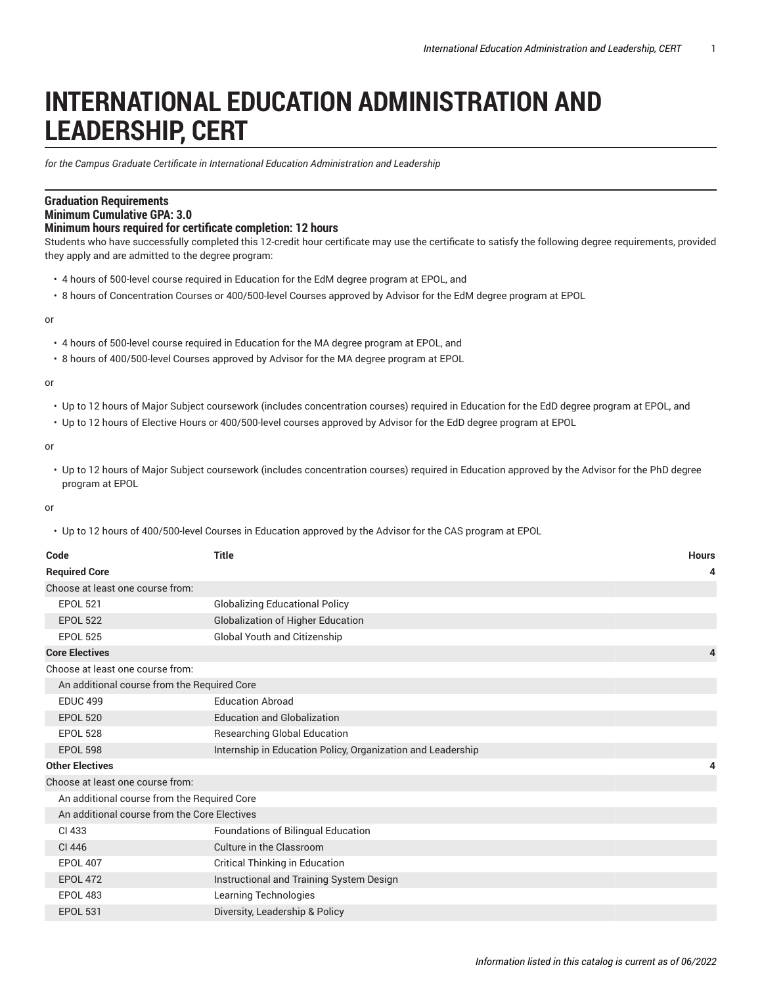## **INTERNATIONAL EDUCATION ADMINISTRATION AND LEADERSHIP, CERT**

*for the Campus Graduate Certificate in International Education Administration and Leadership*

## **Graduation Requirements Minimum Cumulative GPA: 3.0**

## **Minimum hours required for certificate completion: 12 hours**

Students who have successfully completed this 12-credit hour certificate may use the certificate to satisfy the following degree requirements, provided they apply and are admitted to the degree program:

- 4 hours of 500-level course required in Education for the EdM degree program at EPOL, and
- 8 hours of Concentration Courses or 400/500-level Courses approved by Advisor for the EdM degree program at EPOL

or

- 4 hours of 500-level course required in Education for the MA degree program at EPOL, and
- 8 hours of 400/500-level Courses approved by Advisor for the MA degree program at EPOL

## or

- Up to 12 hours of Major Subject coursework (includes concentration courses) required in Education for the EdD degree program at EPOL, and
- Up to 12 hours of Elective Hours or 400/500-level courses approved by Advisor for the EdD degree program at EPOL

or

• Up to 12 hours of Major Subject coursework (includes concentration courses) required in Education approved by the Advisor for the PhD degree program at EPOL

or

• Up to 12 hours of 400/500-level Courses in Education approved by the Advisor for the CAS program at EPOL

| Code                                         | <b>Title</b>                                                | <b>Hours</b> |
|----------------------------------------------|-------------------------------------------------------------|--------------|
| <b>Required Core</b>                         |                                                             | 4            |
| Choose at least one course from:             |                                                             |              |
| <b>EPOL 521</b>                              | <b>Globalizing Educational Policy</b>                       |              |
| <b>EPOL 522</b>                              | <b>Globalization of Higher Education</b>                    |              |
| <b>EPOL 525</b>                              | Global Youth and Citizenship                                |              |
| <b>Core Electives</b>                        |                                                             | 4            |
| Choose at least one course from:             |                                                             |              |
| An additional course from the Required Core  |                                                             |              |
| <b>EDUC 499</b>                              | <b>Education Abroad</b>                                     |              |
| <b>EPOL 520</b>                              | <b>Education and Globalization</b>                          |              |
| <b>EPOL 528</b>                              | <b>Researching Global Education</b>                         |              |
| <b>EPOL 598</b>                              | Internship in Education Policy, Organization and Leadership |              |
| <b>Other Electives</b>                       |                                                             | 4            |
| Choose at least one course from:             |                                                             |              |
| An additional course from the Required Core  |                                                             |              |
| An additional course from the Core Electives |                                                             |              |
| CI 433                                       | Foundations of Bilingual Education                          |              |
| CI 446                                       | Culture in the Classroom                                    |              |
| <b>EPOL 407</b>                              | Critical Thinking in Education                              |              |
| <b>EPOL 472</b>                              | Instructional and Training System Design                    |              |
| <b>EPOL 483</b>                              | Learning Technologies                                       |              |
| <b>EPOL 531</b>                              | Diversity, Leadership & Policy                              |              |